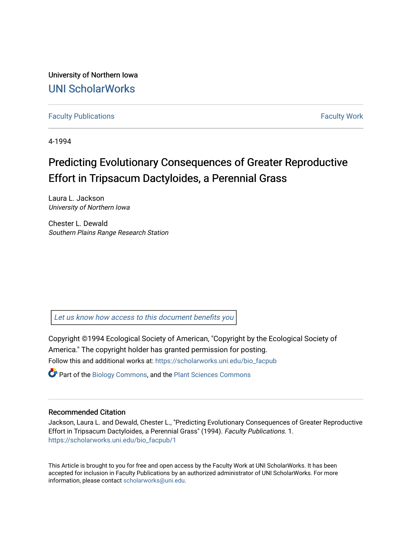University of Northern Iowa [UNI ScholarWorks](https://scholarworks.uni.edu/) 

[Faculty Publications](https://scholarworks.uni.edu/bio_facpub) [Faculty Work](https://scholarworks.uni.edu/fw_bio) 

4-1994

# Predicting Evolutionary Consequences of Greater Reproductive Effort in Tripsacum Dactyloides, a Perennial Grass

Laura L. Jackson University of Northern Iowa

Chester L. Dewald Southern Plains Range Research Station

[Let us know how access to this document benefits you](https://scholarworks.uni.edu/feedback_form.html) 

Copyright ©1994 Ecological Society of American, "Copyright by the Ecological Society of America." The copyright holder has granted permission for posting. Follow this and additional works at: [https://scholarworks.uni.edu/bio\\_facpub](https://scholarworks.uni.edu/bio_facpub?utm_source=scholarworks.uni.edu%2Fbio_facpub%2F1&utm_medium=PDF&utm_campaign=PDFCoverPages)

**C** Part of the [Biology Commons,](http://network.bepress.com/hgg/discipline/41?utm_source=scholarworks.uni.edu%2Fbio_facpub%2F1&utm_medium=PDF&utm_campaign=PDFCoverPages) and the Plant Sciences Commons

# Recommended Citation

Jackson, Laura L. and Dewald, Chester L., "Predicting Evolutionary Consequences of Greater Reproductive Effort in Tripsacum Dactyloides, a Perennial Grass" (1994). Faculty Publications. 1. [https://scholarworks.uni.edu/bio\\_facpub/1](https://scholarworks.uni.edu/bio_facpub/1?utm_source=scholarworks.uni.edu%2Fbio_facpub%2F1&utm_medium=PDF&utm_campaign=PDFCoverPages)

This Article is brought to you for free and open access by the Faculty Work at UNI ScholarWorks. It has been accepted for inclusion in Faculty Publications by an authorized administrator of UNI ScholarWorks. For more information, please contact [scholarworks@uni.edu.](mailto:scholarworks@uni.edu)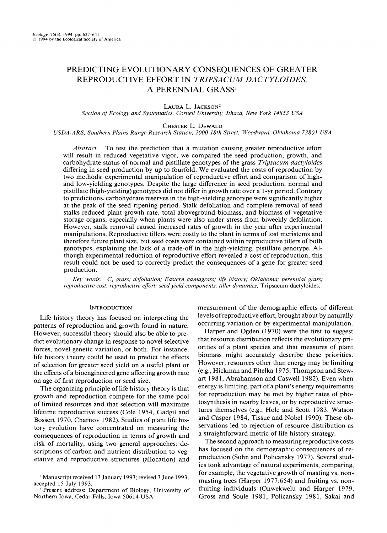# **PREDICTING EVOLUTIONARY CONSEQUENCES OF GREATER REPRODUCTIVE EFFORT IN TRIPSACUM DACTYLOIDES. A PERENNIAL GRASS1**

**LAURA L. JACKSON2** 

**Section of Ecology and Systematics, Cornell University, Ithaca, New York 14853 USA** 

## **CHESTER L. DEWALD**

**USDA-ARS, Southern Plains Range Research Station, 2000 18th Street, Woodward, Oklahoma 73801 USA** 

**Abstract. To test the prediction that a mutation causing greater reproductive effort will result in reduced vegetative vigor, we compared the seed production, growth, and carbohydrate status of normal and pistillate genotypes of the grass Tripsacum dactyloides differing in seed production by up to fourfold. We evaluated the costs of reproduction by two methods: experimental manipulation of reproductive effort and comparison of highand low-yielding genotypes. Despite the large difference in seed production, normal and pistillate (high-yielding) genotypes did not differ in growth rate over a 1-yr period. Contrary to predictions, carbohydrate reserves in the high-yielding genotype were significantly higher at the peak of the seed ripening period. Stalk defoliation and complete removal of seed stalks reduced plant growth rate, total aboveground biomass, and biomass of vegetative storage organs, especially when plants were also under stress from biweekly defoliation. However, stalk removal caused increased rates of growth in the year after experimental manipulations. Reproductive tillers were costly to the plant in terms of lost meristems and therefore future plant size, but seed costs were contained within reproductive tillers of both genotypes, explaining the lack of a trade-off in the high-yielding, pistillate genotype. Although experimental reduction of reproductive effort revealed a cost of reproduction, this result could not be used to correctly predict the consequences of a gene for greater seed production.** 

**Key words. C4 grass; defoliation; Eastern gamagrass; life history, Oklahoma; perennial grass; reproductive cost; reproductive effort; seed yield components; tiller dynamics; Tripsacum dactyloides.** 

#### **INTRODUCTION**

**Life history theory has focused on interpreting the patterns of reproduction and growth found in nature. However, successful theory should also be able to predict evolutionary change in response to novel selective forces, novel genetic variation, or both. For instance, life history theory could be used to predict the effects of selection for greater seed yield on a useful plant or the effects of a bioengineered gene affecting growth rate on age of first reproduction or seed size.** 

**The organizing principle of life history theory is that growth and reproduction compete for the same pool of limited resources and that selection will maximize lifetime reproductive success (Cole 1954, Gadgil and**  Bossert 1970, Charnov 1982). Studies of plant life his**tory evolution have concentrated on measuring the consequences of reproduction in terms of growth and risk of mortality, using two general approaches: descriptions of carbon and nutrient distribution to vegetative and reproductive structures (allocation) and**  **measurement of the demographic effects of different levels of reproductive effort, brought about by naturally occurring variation or by experimental manipulation.** 

**Harper and Ogden (1970) were the first to suggest that resource distribution reflects the evolutionary priorities of a plant species and that measures of plant biomass might accurately describe these priorities. However, resources other than energy may be limiting (e.g., Hickman and Pitelka 1975, Thompson and Stewart 1981, Abrahamson and Caswell 1982). Even when energy is limiting, part of a plant's energy requirements for reproduction may be met by higher rates of photosynthesis in nearby leaves, or by reproductive structures themselves (e.g., Hole and Scott 1983, Watson and Casper 1984, Tissue and Nobel 1990). These observations led to rejection of resource distribution as a straightforward metric of life history strategy.** 

**The second approach to measuring reproductive costs has focused on the demographic consequences of reproduction (Sohn and Policansky 1977). Several studies took advantage of natural experiments, comparing, for example, the vegetative growth of masting vs. nonmasting trees (Harper 1977:654) and fruiting vs. nonfruiting individuals (Onwekwelu and Harper 1979, Gross and Soule 1981, Policansky 1981, Sakai and** 

<sup>&</sup>lt;sup>1</sup> Manuscript received 13 January 1993; revised 3 June 1993; **accepted 15 July 1993.** 

**<sup>2</sup>Present address: Department of Biology, University of Northern Iowa, Cedar Falls, Iowa 50614 USA.**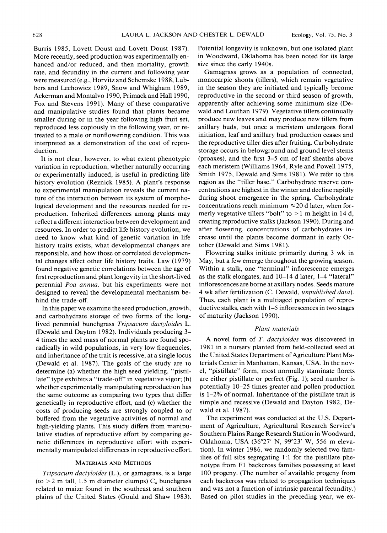**Burris 1985, Lovett Doust and Lovett Doust 1987). More recently, seed production was experimentally enhanced and/or reduced, and then mortality, growth rate, and fecundity in the current and following year were measured (e.g., Horvitz and Schemske 1988, Lubbers and Lechowicz 1989, Snow and Whigham 1989, Ackerman and Montalvo 1990, Primack and Hall 1990, Fox and Stevens 1991). Many of these comparative and manipulative studies found that plants became smaller during or in the year following high fruit set, reproduced less copiously in the following year, or retreated to a male or nonflowering condition. This was interpreted as a demonstration of the cost of reproduction.** 

**It is not clear, however, to what extent phenotypic variation in reproduction, whether naturally occurring or experimentally induced, is useful in predicting life history evolution (Reznick 1985). A plant's response to experimental manipulation reveals the current nature of the interaction between its system of morphological development and the resources needed for reproduction. Inherited differences among plants may reflect a different interaction between development and resources. In order to predict life history evolution, we need to know what kind of genetic variation in life history traits exists, what developmental changes are responsible, and how those or correlated developmental changes affect other life history traits. Law (1979) found negative genetic correlations between the age of first reproduction and plant longevity in the short-lived perennial Poa annua, but his experiments were not designed to reveal the developmental mechanism behind the trade-off.** 

**In this paper we examine the seed production, growth, and carbohydrate storage of two forms of the longlived perennial bunchgrass Tripsacum dactyloides L. (Dewald and Dayton 1982). Individuals producing 3- 4 times the seed mass of normal plants are found sporadically in wild populations, in very low frequencies, and inheritance of the trait is recessive, at a single locus (Dewald et al. 1987). The goals of the study are to determine (a) whether the high seed yielding, "pistillate" type exhibits a "trade-off' in vegetative vigor; (b) whether experimentally manipulating reproduction has the same outcome as comparing two types that differ genetically in reproductive effort, and (c) whether the costs of producing seeds are strongly coupled to or buffered from the vegetative activities of normal and high-yielding plants. This study differs from manipulative studies of reproductive effort by comparing genetic differences in reproductive effort with experimentally manipulated differences in reproductive effort.** 

## **MATERIALS AND METHODS**

**Tripsacum dactyloides (L.), or gamagrass, is a large**   $(to > 2 \text{ m tall}, 1.5 \text{ m diameter clumps})$   $C_4$  bunchgrass **related to maize found in the southeast and southern plains of the United States (Gould and Shaw 1983).**  **Potential longevity is unknown, but one isolated plant in Woodward, Oklahoma has been noted for its large size since the early 1940s.** 

**Gamagrass grows as a population of connected, monocarpic shoots (tillers), which remain vegetative in the season they are initiated and typically become reproductive in the second or third season of growth, apparently after achieving some minimum size (Dewald and Louthan 1979). Vegetative tillers continually produce new leaves and may produce new tillers from axillary buds, but once a meristem undergoes floral initiation, leaf and axillary bud production ceases and the reproductive tiller dies after fruiting. Carbohydrate storage occurs in belowground and ground level stems (proaxes), and the first 3-5 cm of leaf sheaths above each meristem (Williams 1964, Ryle and Powell 1975, Smith 1975, Dewald and Sims 1981). We refer to this region as the "tiller base." Carbohydrate reserve concentrations are highest in the winter and decline rapidly during shoot emergence in the spring. Carbohydrate**  concentrations reach minimum  $\approx$  20 d later, when for**merly vegetative tillers "bolt" to > 1 m height in 14 d, creating reproductive stalks (Jackson 1990). During and after flowering, concentrations of carbohydrates increase until the plants become dormant in early October (Dewald and Sims 1981).** 

**Flowering stalks initiate primarily during 3 wk in May, but a few emerge throughout the growing season. Within a stalk, one "terminal" inflorescence emerges as the stalk elongates, and 10-14 d later, 1-4 "lateral" inflorescences are borne at axillary nodes. Seeds mature 4 wk after fertilization (C. Dewald, unpublished data). Thus, each plant is a multiaged population of reproductive stalks, each with 1-5 inflorescences in two stages of maturity (Jackson 1990).** 

## **Plant materials**

**A novel form of T. dactyloides was discovered in 1981 in a nursery planted from field-collected seed at the United States Department of Agriculture Plant Materials Center in Manhattan, Kansas, USA. In the novel, "pistillate" form, most normally staminate florets are either pistillate or perfect (Fig. 1); seed number is potentially 10-25 times greater and pollen production is 1-2% of normal. Inheritance of the pistillate trait is simple and recessive (Dewald and Dayton 1982, Dewald et al. 1987).** 

**The experiment was conducted at the U.S. Department of Agriculture, Agricultural Research Service's Southern Plains Range Research Station in Woodward, Oklahoma, USA (36°27' N, 99°23' W, 556 m elevation). In winter 1986, we randomly selected two families of full sibs segregating 1:1 for the pistillate phenotype from Fl backcross families possessing at least 100 progeny. (The number of available progeny from each backcross was related to propagation techniques and was not a function of intrinsic parental fecundity.) Based on pilot studies in the preceding year, we ex-**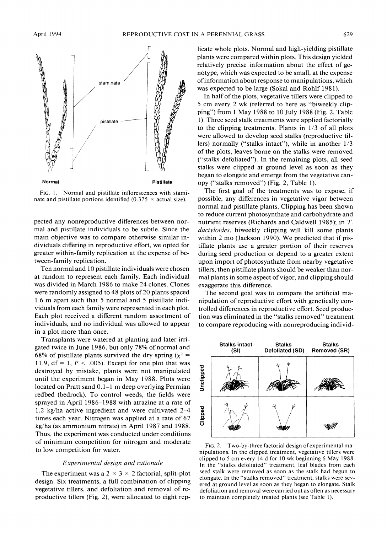

**FIG. 1. Normal and pistillate inflorescences with stami**nate and pistillate portions identified  $(0.375 \times$  actual size).

**pected any nonreproductive differences between normal and pistillate individuals to be subtle. Since the main objective was to compare otherwise similar individuals differing in reproductive effort, we opted for greater within-family replication at the expense of between-family replication.** 

**Ten normal and 10 pistillate individuals were chosen at random to represent each family. Each individual was divided in March 1986 to make 24 clones. Clones were randomly assigned to 48 plots of 20 plants spaced 1.6 m apart such that 5 normal and 5 pistillate individuals from each family were represented in each plot. Each plot received a different random assortment of individuals, and no individual was allowed to appear in a plot more than once.** 

**Transplants were watered at planting and later irrigated twice in June 1986, but only 78% of normal and**  68% of pistillate plants survived the dry spring ( $\chi^2$  = 11.9,  $df = 1$ ,  $P < .005$ ). Except for one plot that was **destroyed by mistake, plants were not manipulated until the experiment began in May 1988. Plots were located on Pratt sand 0.1-1 m deep overlying Permian redbed (bedrock). To control weeds, the fields were sprayed in April 1986-1988 with atrazine at a rate of 1.2 kg/ha active ingredient and were cultivated 2-4 times each year. Nitrogen was applied at a rate of 67 kg/ha (as ammonium nitrate) in April 1987 and 1988. Thus, the experiment was conducted under conditions of minimum competition for nitrogen and moderate to low competition for water.** 

## **Experimental design and rationale**

The experiment was a  $2 \times 3 \times 2$  factorial, split-plot **design. Six treatments, a full combination of clipping vegetative tillers, and defoliation and removal of reproductive tillers (Fig. 2), were allocated to eight rep-**

**licate whole plots. Normal and high-yielding pistillate plants were compared within plots. This design yielded relatively precise information about the effect of genotype, which was expected to be small, at the expense of information about response to manipulations, which was expected to be large (Sokal and Rohlf 1981).** 

**In half of the plots, vegetative tillers were clipped to 5 cm every 2 wk (referred to here as "biweekly clipping") from 1 May 1988 to 10 July 1988 (Fig. 2, Table 1). Three seed stalk treatments were applied factorially to the clipping treatments. Plants in 1/3 of all plots were allowed to develop seed stalks (reproductive tillers) normally ("stalks intact"), while in another 1/3 of the plots, leaves borne on the stalks were removed ("stalks defoliated"). In the remaining plots, all seed stalks were clipped at ground level as soon as they began to elongate and emerge from the vegetative canopy ("stalks removed") (Fig. 2, Table 1).** 

**The first goal of the treatments was to expose, if possible, any differences in vegetative vigor between normal and pistillate plants. Clipping has been shown to reduce current photosynthate and carbohydrate and nutrient reserves (Richards and Caldwell 1985); in T. dactyloides, biweekly clipping will kill some plants within 2 mo (Jackson 1990). We predicted that if pistillate plants use a greater portion of their reserves during seed production or depend to a greater extent upon import of photosynthate from nearby vegetative tillers, then pistillate plants should be weaker than normal plants in some aspect of vigor, and clipping should exaggerate this difference.** 

**The second goal was to compare the artificial manipulation of reproductive effort with genetically controlled differences in reproductive effort. Seed production was eliminated in the "stalks removed" treatment to compare reproducing with nonreproducing individ-**



**FIG. 2. Two-by-three factorial design of experimental manipulations. In the clipped treatment, vegetative tillers were clipped to 5 cm every 14 d for 10 wk beginning 6 May 1988. In the "stalks defoliated" treatment, leaf blades from each seed stalk were removed as soon as the stalk had begun to elongate. In the "stalks removed" treatment, stalks were severed at ground level as soon as they began to elongate. Stalk defoliation and removal were carried out as often as necessary to maintain completely treated plants (see Table 1).**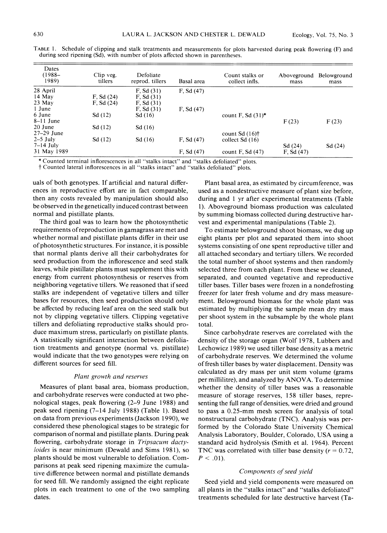| Dates<br>$(1988 -$<br>1989) | Clip veg.<br>tillers | Defoliate<br>reprod. tillers | Basal area | Count stalks or<br>collect infls.               | Aboveground<br>mass | Belowground<br>mass |
|-----------------------------|----------------------|------------------------------|------------|-------------------------------------------------|---------------------|---------------------|
| 28 April                    |                      | F, Sd(31)                    | F, Sd (47) |                                                 |                     |                     |
| 14 May                      | F, Sd(24)            | F. Sd (31)                   |            |                                                 |                     |                     |
| $23$ May                    | F, Sd(24)            | F, Sd(31)                    |            |                                                 |                     |                     |
| 1 June                      |                      | F. Sd (31)                   | F, Sd (47) |                                                 |                     |                     |
| 6 June                      | Sd(12)               | Sd(16)                       |            | count F, Sd $(31)^*$                            |                     |                     |
| $8-11$ June                 |                      |                              |            |                                                 | F(23)               | F(23)               |
| 20 June                     | Sd(12)               | Sd(16)                       |            |                                                 |                     |                     |
| $27-29$ June                |                      |                              |            | count Sd $(16)$ <sup><math>\dagger</math></sup> |                     |                     |
| $2-5$ July                  | Sd(12)               | Sd(16)                       | F, Sd(47)  | collect Sd (16)                                 |                     |                     |
| $7-14$ July                 |                      |                              |            |                                                 | Sd (24)             | Sd(24)              |
| 31 May 1989                 |                      |                              | F. Sd (47) | count $F, Sd$ (47)                              | F. Sd (47)          |                     |

**TABLE 1. Schedule of clipping and stalk treatments and measurements for plots harvested during peak flowering (F) and during seed ripening (Sd), with number of plots affected shown in parentheses.** 

**\* Counted terminal inflorescences in all "stalks intact" and "stalks defoliated" plots.** 

**t Counted lateral inflorescences in all "stalks intact" and "stalks defoliated" plots.** 

**uals of both genotypes. If artificial and natural differences in reproductive effort are in fact comparable, then any costs revealed by manipulation should also be observed in the genetically induced contrast between normal and pistillate plants.** 

**The third goal was to learn how the photosynthetic requirements of reproduction in gamagrass are met and whether normal and pistillate plants differ in their use of photosynthetic structures. For instance, it is possible that normal plants derive all their carbohydrates for seed production from the inflorescence and seed stalk leaves, while pistillate plants must supplement this with energy from current photosynthesis or reserves from neighboring vegetative tillers. We reasoned that if seed stalks are independent of vegetative tillers and tiller bases for resources, then seed production should only be affected by reducing leaf area on the seed stalk but not by clipping vegetative tillers. Clipping vegetative tillers and defoliating reproductive stalks should produce maximum stress, particularly on pistillate plants. A statistically significant interaction between defoliation treatments and genotype (normal vs. pistillate) would indicate that the two genotypes were relying on different sources for seed fill.** 

#### **Plant growth and reserves**

**Measures of plant basal area, biomass production, and carbohydrate reserves were conducted at two phenological stages, peak flowering (2-9 June 1988) and peak seed ripening (7-14 July 1988) (Table 1). Based on data from previous experiments (Jackson 1990), we considered these phenological stages to be strategic for comparison of normal and pistillate plants. During peak flowering, carbohydrate storage in Tripsacum dactyloides is near minimum (Dewald and Sims 1981), so plants should be most vulnerable to defoliation. Comparisons at peak seed ripening maximize the cumulative difference between normal and pistillate demands for seed fill. We randomly assigned the eight replicate plots in each treatment to one of the two sampling dates.** 

**Plant basal area, as estimated by circumference, was used as a nondestructive measure of plant size before, during and 1 yr after experimental treatments (Table 1). Aboveground biomass production was calculated by summing biomass collected during destructive harvest and experimental manipulations (Table 2).** 

**To estimate belowground shoot biomass, we dug up eight plants per plot and separated them into shoot systems consisting of one spent reproductive tiller and all attached secondary and tertiary tillers. We recorded the total number of shoot systems and then randomly selected three from each plant. From these we cleaned, separated, and counted vegetative and reproductive tiller bases. Tiller bases were frozen in a nondefrosting freezer for later fresh volume and dry mass measurement. Belowground biomass for the whole plant was estimated by multiplying the sample mean dry mass per shoot system in the subsample by the whole plant total.** 

**Since carbohydrate reserves are correlated with the density of the storage organ (Wolf 1978, Lubbers and Lechowicz 1989) we used tiller base density as a metric of carbohydrate reserves. We determined the volume of fresh tiller bases by water displacement. Density was calculated as dry mass per unit stem volume (grams per millilitre), and analyzed by ANOVA. To determine whether the density of tiller bases was a reasonable measure of storage reserves, 158 tiller bases, representing the full range of densities, were dried and ground to pass a 0.25-mm mesh screen for analysis of total nonstructural carbohydrate (TNC). Analysis was performed by the Colorado State University Chemical Analysis Laboratory, Boulder, Colorado, USA using a standard acid hydrolysis (Smith et al. 1964). Percent**  TNC was correlated with tiller base density  $(r = 0.72,$  $P < .01$ ).

## **Components of seed yield**

**Seed yield and yield components were measured on all plants in the "stalks intact" and "stalks defoliated" treatments scheduled for late destructive harvest (Ta-**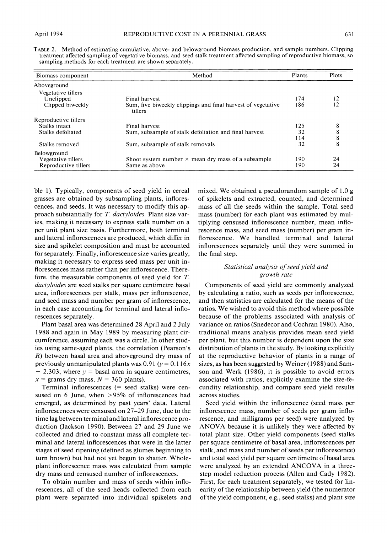| Biomass component                                   | Method                                                                                   | Plants     | Plots    |
|-----------------------------------------------------|------------------------------------------------------------------------------------------|------------|----------|
| Aboveground                                         |                                                                                          |            |          |
| Vegetative tillers<br>Unclipped<br>Clipped biweekly | Final harvest<br>Sum, five biweekly clippings and final harvest of vegetative<br>tillers | 174<br>186 | 12<br>12 |
| Reproductive tillers                                |                                                                                          |            |          |
| Stalks intact                                       | Final harvest                                                                            | 125        | 8        |
| Stalks defoliated                                   | Sum, subsample of stalk defoliation and final harvest                                    | 32         | 8        |
|                                                     |                                                                                          | 114        | 8        |
| Stalks removed                                      | Sum, subsample of stalk removals                                                         | 32         | 8        |
| Belowground                                         |                                                                                          |            |          |
| Vegetative tillers                                  | Shoot system number $\times$ mean dry mass of a subsample                                | 190        | 24       |
| Reproductive tillers                                | Same as above                                                                            | 190        | 24       |

**TABLE 2. Method of estimating cumulative, above- and belowground biomass production, and sample numbers. Clipping treatment affected sampling of vegetative biomass, and seed stalk treatment affected sampling of reproductive biomass, so sampling methods for each treatment are shown separately.** 

**ble 1). Typically, components of seed yield in cereal grasses are obtained by subsampling plants, inflorescences, and seeds. It was necessary to modify this approach substantially for T. dactyloides. Plant size varies, making it necessary to express stalk number on a per unit plant size basis. Furthermore, both terminal and lateral inflorescences are produced, which differ in size and spikelet composition and must be accounted for separately. Finally, inflorescence size varies greatly, making it necessary to express seed mass per unit inflorescences mass rather than per inflorescence. Therefore, the measurable components of seed yield for T. dactyloides are seed stalks per square centimetre basal area, inflorescences per stalk, mass per inflorescence, and seed mass and number per gram of inflorescence, in each case accounting for terminal and lateral inflorescences separately.** 

**Plant basal area was determined 28 April and 2 July 1988 and again in May 1989 by measuring plant circumference, assuming each was a circle. In other studies using same-aged plants, the correlation (Pearson's R) between basal area and aboveground dry mass of**  previously unmanipulated plants was  $0.91$  ( $y = 0.116x$ )  $-$  2.303; where  $y =$  basal area in square centimetres,  $x =$  grams dry mass,  $N = 360$  plants).

**Terminal inflorescences (= seed stalks) were censused on 6 June, when >95% of inflorescences had emerged, as determined by past years' data. Lateral inflorescences were censused on 27-29 June, due to the time lag between terminal and lateral inflorescence production (Jackson 1990). Between 27 and 29 June we collected and dried to constant mass all complete terminal and lateral inflorescences that were in the latter stages of seed ripening (defined as glumes beginning to turn brown) but had not yet begun to shatter. Wholeplant inflorescence mass was calculated from sample dry mass and censused number of inflorescences.** 

**To obtain number and mass of seeds within inflorescences, all of the seed heads collected from each plant were separated into individual spikelets and**  **mixed. We obtained a pseudorandom sample of 1.0 g of spikelets and extracted, counted, and determined mass of all the seeds within the sample. Total seed mass (number) for each plant was estimated by multiplying censused inflorescence number, mean inflorescence mass, and seed mass (number) per gram inflorescence. We handled terminal and lateral inflorescences separately until they were summed in the final step.** 

# **Statistical analysis of seed yield and growth rate**

**Components of seed yield are commonly analyzed by calculating a ratio, such as seeds per inflorescence, and then statistics are calculated for the means of the ratios. We wished to avoid this method where possible because of the problems associated with analysis of variance on ratios (Snedecor and Cochran 1980). Also, traditional means analysis provides mean seed yield per plant, but this number is dependent upon the size distribution of plants in the study. By looking explicitly at the reproductive behavior of plants in a range of sizes, as has been suggested by Weiner (1988) and Samson and Werk (1986), it is possible to avoid errors associated with ratios, explicitly examine the size-fecundity relationship, and compare seed yield results across studies.** 

**Seed yield within the inflorescence (seed mass per inflorescence mass, number of seeds per gram inflorescence, and milligrams per seed) were analyzed by ANOVA because it is unlikely they were affected by total plant size. Other yield components (seed stalks per square centimetre of basal area, inflorescences per stalk, and mass and number of seeds per inflorescence) and total seed yield per square centimetre of basal area were analyzed by an extended ANCOVA in a threestep model reduction process (Allen and Cady 1982). First, for each treatment separately, we tested for linearity of the relationship between yield (the numerator of the yield component, e.g., seed stalks) and plant size**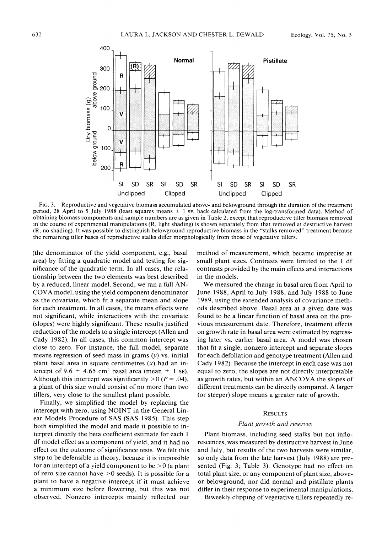

**FIG. 3. Reproductive and vegetative biomass accumulated above- and belowground through the duration of the treatment**  period, 28 April to 5 July 1988 (least squares means  $\pm$  1 se, back calculated from the log-transformed data). Method of **obtaining biomass components and sample numbers are as given in Table 2, except that reproductive tiller biomass removed in the course of experimental manipulations (R, light shading) is shown separately from that removed at destructive harvest (R, no shading). It was possible to distinguish belowground reproductive biomass in the "stalks removed" treatment because the remaining tiller bases of reproductive stalks differ morphologically from those of vegetative tillers.** 

**(the denominator of the yield component, e.g., basal area) by fitting a quadratic model and testing for significance of the quadratic term. In all cases, the relationship between the two elements was best described by a reduced, linear model. Second, we ran a full AN-COVA model, using the yield component denominator as the covariate, which fit a separate mean and slope for each treatment. In all cases, the means effects were not significant, while interactions with the covariate (slopes) were highly significant. These results justified reduction of the models to a single intercept (Allen and Cady 1982). In all cases, this common intercept was close to zero. For instance, the full model, separate means regression of seed mass in grams (y) vs. initial plant basal area in square centimetres (x) had an intercept of 9.6**  $\pm$  **4.65 cm<sup>2</sup> basal area (mean**  $\pm$  **1 sE).** Although this intercept was significantly  $>0$  ( $P = .04$ ), **a plant of this size would consist of no more than two tillers, very close to the smallest plant possible.** 

**Finally, we simplified the model by replacing the intercept with zero, using NOINT in the General Linear Models Procedure of SAS (SAS 1985). This step both simplified the model and made it possible to interpret directly the beta coefficient estimate for each 1 df model effect as a component of yield, and it had no effect on the outcome of significance tests. We felt this step to be defensible in theory, because it is impossible for an intercept of a yield component to be >0 (a plant of zero size cannot have >0 seeds). It is possible for a plant to have a negative intercept if it must achieve a minimum size before flowering, but this was not observed. Nonzero intercepts mainly reflected our** 

**method of measurement, which became imprecise at small plant sizes. Contrasts were limited to the 1 df contrasts provided by the main effects and interactions in the models.** 

**We measured the change in basal area from April to June 1988, April to July 1988, and July 1988 to June 1989, using the extended analysis of covariance methods described above. Basal area at a given date was found to be a linear function of basal area on the previous measurement date. Therefore, treatment effects on growth rate in basal area were estimated by regressing later vs. earlier basal area. A model was chosen that fit a single, nonzero intercept and separate slopes for each defoliation and genotype treatment (Allen and Cady 1982). Because the intercept in each case was not equal to zero, the slopes are not directly interpretable as growth rates, but within an ANCOVA the slopes of different treatments can be directly compared. A larger (or steeper) slope means a greater rate of growth.** 

# **RESULTS**

# **Plant growth and reserves**

**Plant biomass, including seed stalks but not inflorescences, was measured by destructive harvest in June and July, but results of the two harvests were similar, so only data from the late harvest (July 1988) are presented (Fig. 3; Table 3). Genotype had no effect on total plant size, or any component of plant size, aboveor belowground, nor did normal and pistillate plants differ in their response to experimental manipulations.** 

**Biweekly clipping of vegetative tillers repeatedly re-**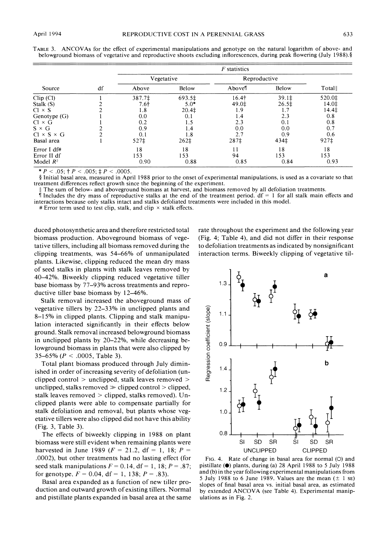|                        |    | <i>F</i> statistics |                  |              |                   |                   |  |  |
|------------------------|----|---------------------|------------------|--------------|-------------------|-------------------|--|--|
|                        |    | Vegetative          |                  | Reproductive |                   |                   |  |  |
| Source                 | df | Above               | Below            | Abovel       | Below             | Total             |  |  |
| Clip (Cl)              |    | 387.7‡              | 693.5‡           | $16.4+$      | $39.1\pm$         | 520.0‡            |  |  |
| Stalk (S)              |    | $7.6 +$             | $5.0*$           | 49.0‡        | 26.5 <sup>‡</sup> | 14.0 <sup>‡</sup> |  |  |
| $Cl \times S$          |    | 1.8                 | 20.4‡            | 1.9          | 1.7               | 14.4 <sup>‡</sup> |  |  |
| Genotype (G)           |    | 0.0                 | 0,1              | 1.4          | 2.3               | 0.8               |  |  |
| $Cl \times G$          |    | 0.2                 | 1.5              | 2.3          | 0.1               | 0.8               |  |  |
| $S \times G$           |    | 0.9                 | 1.4              | 0.0          | 0.0               | 0.7               |  |  |
| $Cl \times S \times G$ |    | 0.1                 | 1.8              | 2.7          | 0.9               | 0.6               |  |  |
| Basal area             |    | 527‡                | 262 <sup>±</sup> | 287‡         | 434‡              | 927‡              |  |  |
| Error I df#            |    | 18                  | 18               | 11           | 18                | 18                |  |  |
| Error II df            |    | 153                 | 153              | 94           | 153               | 153               |  |  |
| Model $R^2$            |    | 0.90                | 0.88             | 0.85         | 0.84              | 0.93              |  |  |

**TABLE 3. ANCOVAs for the effect of experimental manipulations and genotype on the natural logarithm of above- and belowground biomass of vegetative and reproductive shoots excluding inflorescences, during peak flowering (July 1988).§** 

 $* P < .05$ ;  $\dagger P < .005$ ;  $\dagger P < .0005$ .

**§ Initial basal area, measured in April 1988 prior to the onset of experimental manipulations, is used as a covariate so that treatment differences reflect growth since the beginning of the experiment.** 

**II The sum of below- and aboveground biomass at harvest, and biomass removed by all defoliation treatments.** 

**If Includes the dry mass of reproductive stalks at the end of the treatment period.**  $df = 1$  **for all stalk main effects and interactions because only stalks intact and stalks defoliated treatments were included in this model.** 

 $# Error$  term used to test clip, stalk, and clip  $\times$  stalk effects.

**duced photosynthetic area and therefore restricted total biomass production. Aboveground biomass of vegetative tillers, including all biomass removed during the clipping treatments, was 54-66% of unmanipulated plants. Likewise, clipping reduced the mean dry mass of seed stalks in plants with stalk leaves removed by 40-42%. Biweekly clipping reduced vegetative tiller base biomass by 77-93% across treatments and reproductive tiller base biomass by 12-46%.** 

**Stalk removal increased the aboveground mass of vegetative tillers by 22-33% in unclipped plants and 8-15% in clipped plants. Clipping and stalk manipulation interacted significantly in their effects below ground. Stalk removal increased belowground biomass in unclipped plants by 20-22%, while decreasing belowground biomass in plants that were also clipped by 35-65% (P < .0005, Table 3).** 

**Total plant biomass produced through July diminished in order of increasing severity of defoliation (unclipped control > unclipped, stalk leaves removed >**  unclipped, stalks removed  $\gg$  clipped control  $>$  clipped, **stalk leaves removed > clipped, stalks removed). Unclipped plants were able to compensate partially for stalk defoliation and removal, but plants whose vegetative tillers were also clipped did not have this ability (Fig. 3, Table 3).** 

**The effects of biweekly clipping in 1988 on plant biomass were still evident when remaining plants were**  harvested in June 1989 ( $F = 21.2$ , df = 1, 18;  $P =$ **.0002), but other treatments had no lasting effect (for**  seed stalk manipulations  $F = 0.14$ ,  $df = 1$ , 18;  $P = .87$ ; for genotype,  $F = 0.04$ ,  $df = 1$ , 138;  $P = .83$ ).

**Basal area expanded as a function of new tiller production and outward growth of existing tillers. Normal and pistillate plants expanded in basal area at the same**  **rate throughout the experiment and the following year (Fig. 4; Table 4), and did not differ in their response to defoliation treatments as indicated by nonsignificant interaction terms. Biweekly clipping of vegetative til-**



FIG. 4. Rate of change in basal area for normal (O) and **pistillate (0) plants, during (a) 28 April 1988 to 5 July 1988 and (b) in the year following experimental manipulations from 5 July 1988 to 6 June 1989. Values are the mean (± 1 SE) slopes of final basal area vs. initial basal area, as estimated by extended ANCOVA (see Table 4). Experimental manipulations as in Fig. 2.**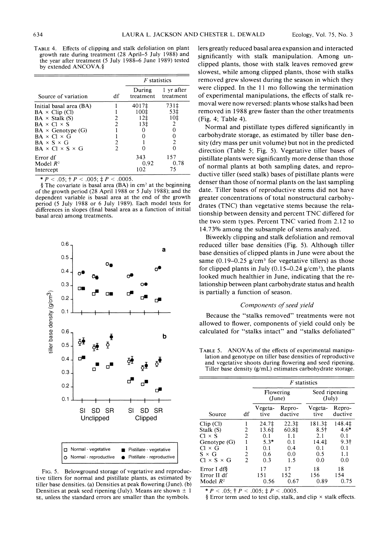**TABLE 4. Effects of clipping and stalk defoliation on plant growth rate during treatment (28 April-5 July 1988) and the year after treatment (5 July 1988-6 June 1989) tested by extended ANCOVA.§** 

|                                                                                                                                                                                                                          |    | $F$ statistics              |                              |  |
|--------------------------------------------------------------------------------------------------------------------------------------------------------------------------------------------------------------------------|----|-----------------------------|------------------------------|--|
| Source of variation                                                                                                                                                                                                      | df | During<br>treatment         | 1 yr after<br>treatment      |  |
| Initial basal area (BA)<br>$BA \times Clip$ (Cl)<br>$BA \times Stalk(S)$<br>$BA \times CI \times S$<br>$BA \times$ Genotype (G)<br>$BA \times CI \times G$<br>$BA \times S \times G$<br>$BA \times CI \times S \times G$ | 2  | 4017‡<br>100‡<br>12‡<br>13‡ | 731‡<br>53‡<br>10‡<br>2<br>2 |  |
| Error df<br>Model $R^2$<br>Intercept                                                                                                                                                                                     |    | 343<br>0.92<br>102          | 157<br>0.78<br>75            |  |

 $* P < .05$ ;  $\dagger P < .005$ ;  $\ddagger P < .0005$ .

**§ The covariate is basal area (BA) in cm2 at the beginning of the growth period (28 April 1988 or 5 July 1988); and the dependent variable is basal area at the end of the growth period (5 July 1988 or 6 July 1989). Each model tests for differences in slopes (final basal area as a function of initial basal area) among treatments.** 



**FIG. 5. Belowground storage of vegetative and reproductive tillers for normal and pistillate plants, as estimated by tiller base densities. (a) Densities at peak flowering (June). (b)**  Densities at peak seed ripening (July). Means are shown  $\pm$  1 **SE, unless the standard errors are smaller than the symbols.** 

**lers greatly reduced basal area expansion and interacted significantly with stalk manipulation. Among unclipped plants, those with stalk leaves removed grew slowest, while among clipped plants, those with stalks removed grew slowest during the season in which they were clipped. In the 11 mo following the termination of experimental manipulations, the effects of stalk removal were now reversed: plants whose stalks had been removed in 1988 grew faster than the other treatments (Fig. 4; Table 4).** 

**Normal and pistillate types differed significantly in carbohydrate storage, as estimated by tiller base density (dry mass per unit volume) but not in the predicted direction (Table 5; Fig. 5). Vegetative tiller bases of pistillate plants were significantly more dense than those of normal plants at both sampling dates, and reproductive tiller (seed stalk) bases of pistillate plants were denser than those of normal plants on the last sampling date. Tiller bases of reproductive stems did not have greater concentrations of total nonstructural carbohydrates (TNC) than vegetative stems because the relationship between density and percent TNC differed for the two stem types. Percent TNC varied from 2.12 to 14.73% among the subsample of stems analyzed.** 

**Biweekly clipping and stalk defoliation and removal reduced tiller base densities (Fig. 5). Although tiller base densities of clipped plants in June were about the same (0.19-0.25 g/cm3 for vegetative tillers) as those for clipped plants in July (0.15-0.24 g/cm3), the plants looked much healthier in June, indicating that the relationship between plant carbohydrate status and health is partially a function of season.** 

# **Components of seed yield**

**Because the "stalks removed" treatments were not allowed to flower, components of yield could only be calculated for "stalks intact" and "stalks defoliated"** 

**TABLE 5. ANOVAs of the effects of experimental manipulation and genotype on tiller base densities of reproductive and vegetative shoots during flowering and seed ripening. Tiller base density (g/mL) estimates carbohydrate storage.** 

|                                                                                                                    |                                                      | $F$ statistics                                                   |                                                               |                                                       |                                                        |  |  |
|--------------------------------------------------------------------------------------------------------------------|------------------------------------------------------|------------------------------------------------------------------|---------------------------------------------------------------|-------------------------------------------------------|--------------------------------------------------------|--|--|
|                                                                                                                    |                                                      |                                                                  | Flowering<br>(June)                                           | Seed ripening<br>$(\mathrm{July})$                    |                                                        |  |  |
| Source                                                                                                             | df                                                   | Vegeta-<br>tive                                                  | Repro-<br>ductive                                             | Vegeta-<br>tive                                       | Repro-<br>ductive                                      |  |  |
| Clip (Cl)<br>Stalk (S)<br>$Cl \times S$<br>Genotype (G)<br>$Cl \times G$<br>$S \times G$<br>$Cl \times S \times G$ | ı<br>2<br>$\overline{2}$<br>l<br>2<br>$\overline{2}$ | 24.7 <sup>±</sup><br>13.6‡<br>0.1<br>$5.3*$<br>0.1<br>0.6<br>0.3 | 22.3 <sup>‡</sup><br>60.8‡<br>1.1<br>0.1<br>0.4<br>0.0<br>1.5 | 181.3‡<br>$8.5+$<br>2.1<br>14.4‡<br>0.1<br>0.5<br>0.0 | 148.4‡<br>$4.6*$<br>0.1<br>$9.3+$<br>0.1<br>1.1<br>0.0 |  |  |
| Error I df§<br>Error II df<br>Model $R^2$                                                                          |                                                      | 17<br>151<br>0.56                                                | 17<br>152<br>0.67                                             | 18<br>156<br>0.89                                     | 18<br>154<br>0.75                                      |  |  |

 $* P < .05$ ;  $\dagger P < .005$ ;  $\ddagger P < .0005$ .

**§ Error term used to test clip, stalk, and clip x stalk effects.**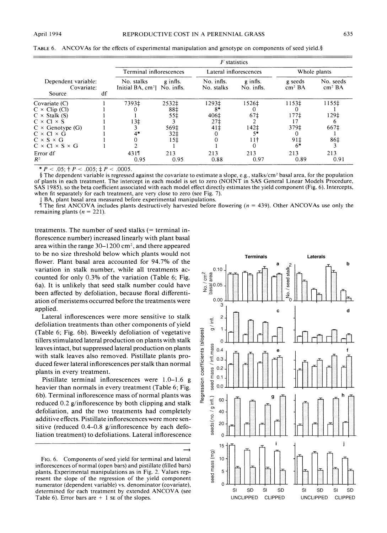|                                   |    |                                            | <i>F</i> statistics |                          |                        |                               |                                 |  |  |  |
|-----------------------------------|----|--------------------------------------------|---------------------|--------------------------|------------------------|-------------------------------|---------------------------------|--|--|--|
|                                   |    | Terminal inflorescences                    |                     |                          | Lateral inflorescences |                               | Whole plants                    |  |  |  |
| Dependent variable:<br>Covariate: |    | No. stalks<br>Initial BA, $cm2$ No. infls. | g infls.            | No. infls.<br>No. stalks | g infls.<br>No. infls. | g seeds<br>cm <sup>2</sup> BA | No. seeds<br>cm <sup>2</sup> BA |  |  |  |
| <b>Source</b>                     | df |                                            |                     |                          |                        |                               |                                 |  |  |  |
| Covariate (C)                     |    | 7393‡                                      | 2532‡               | 1293‡                    | 1526‡                  | 1153‡                         | 1155‡                           |  |  |  |
| $C \times$ Clip (Cl)              |    |                                            | 88‡                 | 8*                       |                        |                               |                                 |  |  |  |
|                                   |    |                                            |                     |                          |                        |                               | .                               |  |  |  |

**TABLE 6. ANCOVAs for the effects of experimental manipulation and genotype on components of seed yield.§** 

**C x Stalk (S) 1 1 55t 406: 67t 177t 129t**   $C \times C1 \times S$  1 13‡ 3 27‡ 2 17 6  $C \times$  Genotype (G)  $1$   $3$   $569\pm$   $41\pm$   $142\pm$   $379\pm$   $667\pm$ <br> $C \times$  Cl  $\times$  G  $1$   $4*$   $32\pm$  0  $5*$  0 1  $C \times C1 \times G$  1 4\* 32‡ 0 5\* 0 1  $C \times S \times G$  1 0 15‡ 0 11† 91‡ 86‡  $C \times C1 \times S \times G$  1 2 1 1 0 6<sup>\*</sup> 3 **Error df 431¶** 213 213 213 213 213 **R2 0.95 0.95 0.88 0.97 0.89 0.91** 

 $* P < .05$ ;  $\dagger P < .005$ ;  $\ddagger P < .0005$ .

§ The dependent variable is regressed against the covariate to estimate a slope, e.g., stalks/cm<sup>2</sup> basal area, for the population **of plants in each treatment. The intercept in each model is set to zero (NOINT in SAS General Linear Models Procedure, SAS 1985), so the beta coefficient associated with each model effect directly estimates the yield component (Fig. 6). Intercepts, when fit separately for each treatment, are very close to zero (see Fig. 7).** 

**II BA, plant basal area measured before experimental manipulations.** 

**The first ANCOVA includes plants destructively harvested before flowering**  $(n = 439)$ **. Other ANCOVAs use only the** remaining plants  $(n = 221)$ .

**treatments. The number of seed stalks (= terminal inflorescence number) increased linearly with plant basal area within the range 30-1200 cm2, and there appeared to be no size threshold below which plants would not flower. Plant basal area accounted for 94.7% of the variation in stalk number, while all treatments accounted for only 0.3% of the variation (Table 6; Fig. 6a). It is unlikely that seed stalk number could have been affected by defoliation, because floral differentiation ofmeristems occurred before the treatments were applied.** 

**Lateral inflorescences were more sensitive to stalk defoliation treatments than other components of yield (Table 6; Fig. 6b). Biweekly defoliation of vegetative tillers stimulated lateral production on plants with stalk leaves intact, but suppressed lateral production on plants with stalk leaves also removed. Pistillate plants produced fewer lateral inflorescences per stalk than normal plants in every treatment.** 

**Pistillate terminal inflorescences were 1.0-1.6 g heavier than normals in every treatment (Table 6; Fig. 6b). Terminal inflorescence mass of normal plants was reduced 0.2 g/inflorescence by both clipping and stalk defoliation, and the two treatments had completely additive effects. Pistillate inflorescences were more sensitive (reduced 0.4-0.8 g/inflorescence by each defoliation treatment) to defoliations. Lateral inflorescence** 

**FIG. 6. Components of seed yield for terminal and lateral inflorescences of normal (open bars) and pistillate (filled bars) plants. Experimental manipulations as in Fig. 2. Values represent the slope of the regression of the yield component numerator (dependent variable) vs. denominator (covariate), determined for each treatment by extended ANCOVA (see**  Table 6). Error bars are  $+ 1$  **se** of the slopes.

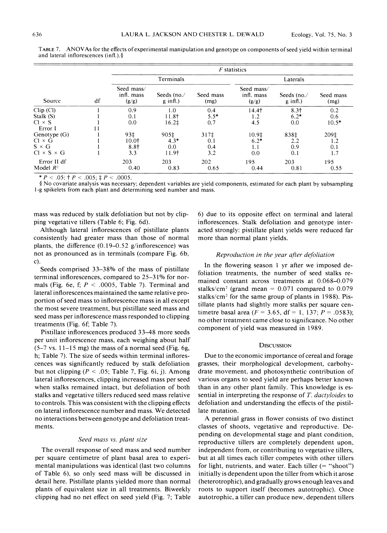| Source                 |    | <i>F</i> statistics               |                             |                   |                                   |                           |                   |  |  |
|------------------------|----|-----------------------------------|-----------------------------|-------------------|-----------------------------------|---------------------------|-------------------|--|--|
|                        |    | Terminals                         |                             |                   | Laterals                          |                           |                   |  |  |
|                        | df | Seed mass/<br>infl. mass<br>(g/g) | Seeds $(no./$<br>$g$ infl.) | Seed mass<br>(mg) | Seed mass/<br>infl. mass<br>(g/g) | Seeds (no./<br>$g$ infl.) | Seed mass<br>(mg) |  |  |
| Clip (Cl)              |    | 0.9                               | 1.0                         | 0.4               | 14.4 <sup>†</sup>                 | $8.3 +$                   | 0.2               |  |  |
| Stalk (S)              |    | 0.1                               | 11.8+                       | $5.5*$            | 1.2                               | $6.2*$                    | 0.6               |  |  |
| $Cl \times S$          |    | 0.0                               | $16.2$ $\pm$                | 0.7               | 4.5                               | 0.0                       | $10.5*$           |  |  |
| Error I                | 11 |                                   |                             |                   |                                   |                           |                   |  |  |
| Genotype $(G)$         |    | 93‡                               | 905‡                        | 317 <sup>±</sup>  | 10.9 <sup>‡</sup>                 | 838‡                      | 209‡              |  |  |
| $Cl \times G$          |    | 10.0 <sup>†</sup>                 | $4.3*$                      | 0.1               | $6.2*$                            | 2.2                       | 1.2               |  |  |
| $S \times G$           |    | 8.8+                              | 0.0                         | 0.4               | 1.1                               | 0.9                       | 0.1               |  |  |
| $Cl \times S \times G$ |    | 3.3                               | 11.9†                       | 3.2               | 0.0                               | 0.1                       | 1.7               |  |  |
| Error II df            |    | 203                               | 203                         | 202               | 195                               | 203                       | 195               |  |  |
| Model $R^2$            |    | 0.40                              | 0.83                        | 0.65              | 0.44                              | 0.81                      | 0.55              |  |  |

**TABLE 7. ANOVAs for the effects of experimental manipulation and genotype on components of seed yield within terminal and lateral inflorescences (infl.).§** 

 $* P < .05$ ;  $\dagger P < .005$ ;  $\dagger P < .0005$ .

**§ No covariate analysis was necessary; dependent variables are yield components, estimated for each plant by subsampling 1-g spikelets from each plant and determining seed number and mass.** 

**mass was reduced by stalk defoliation but not by clipping vegetative tillers (Table 6; Fig. 6d).** 

**Although lateral inflorescences of pistillate plants consistently had greater mass than those of normal plants, the difference (0.19-0.52 g/inflorescence) was not as pronounced as in terminals (compare Fig. 6b, c).** 

**Seeds comprised 33-38% of the mass of pistillate terminal inflorescences, compared to 25-31% for normals (Fig. 6e, f; P < .0005, Table 7). Terminal and lateral inflorescences maintained the same relative proportion of seed mass to inflorescence mass in all except the most severe treatment, but pistillate seed mass and seed mass per inflorescence mass responded to clipping treatments (Fig. 6f; Table 7).** 

**Pistillate inflorescences produced 33-48 more seeds per unit inflorescence mass, each weighing about half (5-7 vs. 11-15 mg) the mass of a normal seed (Fig. 6g, h; Table 7). The size of seeds within terminal inflorescences was significantly reduced by stalk defoliation**  but not clipping ( $P < .05$ ; Table 7, Fig. 6i, j). Among **lateral inflorescences, clipping increased mass per seed when stalks remained intact, but defoliation of both stalks and vegetative tillers reduced seed mass relative to controls. This was consistent with the clipping effects on lateral inflorescence number and mass. We detected no interactions between genotype and defoliation treatments.** 

# **Seed mass vs. plant size**

**The overall response of seed mass and seed number per square centimetre of plant basal area to experimental manipulations was identical (last two columns of Table 6), so only seed mass will be discussed in detail here. Pistillate plants yielded more than normal plants of equivalent size in all treatments. Biweekly clipping had no net effect on seed yield (Fig. 7; Table**  **6) due to its opposite effect on terminal and lateral inflorescences. Stalk defoliation and genotype interacted strongly: pistillate plant yields were reduced far more than normal plant yields.** 

# **Reproduction in the year after defoliation**

**In the flowering season 1 yr after we imposed defoliation treatments, the number of seed stalks remained constant across treatments at 0.068-0.079 stalks/cm2 (grand mean = 0.071 compared to 0.079 stalks/cm2 for the same group of plants in 1988). Pistillate plants had slightly more stalks per square cen**timetre basal area ( $F = 3.65$ , df = 1, 137;  $P = .0583$ ); **no other treatment came close to significance. No other component of yield was measured in 1989.** 

## **DISCUSSION**

**Due to the economic importance of cereal and forage grasses, their morphological development, carbohydrate movement, and photosynthetic contribution of various organs to seed yield are perhaps better known than in any other plant family. This knowledge is essential in interpreting the response of T. dactyloides to defoliation and understanding the effects of the pistillate mutation.** 

**A perennial grass in flower consists of two distinct classes of shoots, vegetative and reproductive. Depending on developmental stage and plant condition, reproductive tillers are completely dependent upon, independent from, or contributing to vegetative tillers, but at all times each tiller competes with other tillers for light, nutrients, and water. Each tiller (= "shoot") initially is dependent upon the tiller from which it arose (heterotrophic), and gradually grows enough leaves and roots to support itself (becomes autotrophic). Once autotrophic, a tiller can produce new, dependent tillers**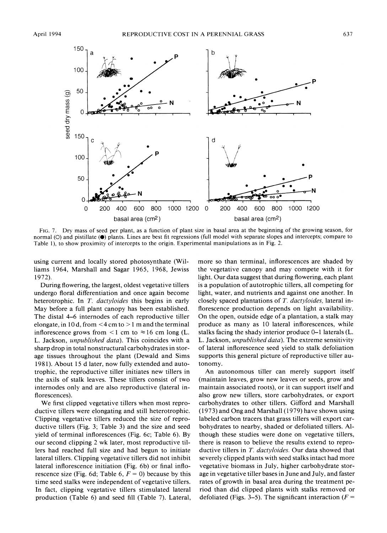

**FIG. 7. Dry mass of seed per plant, as a function of plant size in basal area at the beginning of the growing season, for normal (0) and pistillate (0) plants. Lines are best fit regressions (full model with separate slopes and intercepts; compare to Table 1), to show proximity of intercepts to the origin. Experimental manipulations as in Fig. 2.** 

**using current and locally stored photosynthate (Williams 1964, Marshall and Sagar 1965, 1968, Jewiss 1972).** 

**During flowering, the largest, oldest vegetative tillers undergo floral differentiation and once again become heterotrophic. In T. dactyloides this begins in early May before a full plant canopy has been established. The distal 4-6 intemodes of each reproductive tiller elongate, in 10 d, from < 4 cm to > 1 m and the terminal**  inflorescence grows from  $\leq 1$  cm to  $\approx 16$  cm long (L. **L. Jackson, unpublished data). This coincides with a sharp drop in total nonstructural carbohydrates in storage tissues throughout the plant (Dewald and Sims 1981). About 15 d later, now fully extended and autotrophic, the reproductive tiller initiates new tillers in the axils of stalk leaves. These tillers consist of two**  internodes only and are also reproductive (lateral in**florescences).** 

**We first clipped vegetative tillers when most reproductive tillers were elongating and still heterotrophic. Clipping vegetative tillers reduced the size of reproductive tillers (Fig. 3; Table 3) and the size and seed yield of terminal inflorescences (Fig. 6c; Table 6). By our second clipping 2 wk later, most reproductive tillers had reached full size and had begun to initiate lateral tillers. Clipping vegetative tillers did not inhibit lateral inflorescence initiation (Fig. 6b) or final inflo**rescence size (Fig. 6d; Table 6,  $F = 0$ ) because by this **time seed stalks were independent of vegetative tillers. In fact, clipping vegetative tillers stimulated lateral production (Table 6) and seed fill (Table 7). Lateral,** 

**more so than terminal, inflorescences are shaded by the vegetative canopy and may compete with it for light. Our data suggest that during flowering, each plant is a population of autotrophic tillers, all competing for light, water, and nutrients and against one another. In closely spaced plantations of T. dactyloides, lateral inflorescence production depends on light availability. On the open, outside edge of a plantation, a stalk may produce as many as 10 lateral inflorescences, while stalks facing the shady interior produce 0-1 laterals (L. L. Jackson, unpublished data). The extreme sensitivity of lateral inflorescence seed yield to stalk defoliation supports this general picture of reproductive tiller autonomy.** 

**An autonomous tiller can merely support itself (maintain leaves, grow new leaves or seeds, grow and maintain associated roots), or it can support itself and also grow new tillers, store carbohydrates, or export carbohydrates to other tillers. Gifford and Marshall (1973) and Ong and Marshall (1979) have shown using labeled carbon tracers that grass tillers will export carbohydrates to nearby, shaded or defoliated tillers. Although these studies were done on vegetative tillers, there is reason to believe the results extend to reproductive tillers in T. dactyloides. Our data showed that severely clipped plants with seed stalks intact had more vegetative biomass in July, higher carbohydrate storage in vegetative tiller bases in June and July, and faster rates of growth in basal area during the treatment period than did clipped plants with stalks removed or**  defoliated (Figs. 3–5). The significant interaction  $(F =$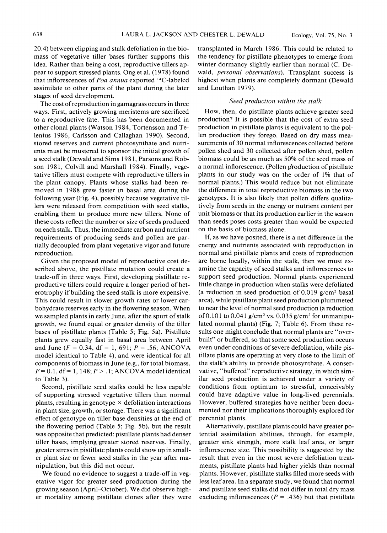**20.4) between clipping and stalk defoliation in the biomass of vegetative tiller bases further supports this idea. Rather than being a cost, reproductive tillers appear to support stressed plants. Ong et al. (1978) found that inflorescences of Poa annua exported '4C-labeled assimilate to other parts of the plant during the later stages of seed development.** 

**The cost of reproduction in gamagrass occurs in three ways. First, actively growing meristems are sacrificed to a reproductive fate. This has been documented in other clonal plants (Watson 1984, Tortensson and Telenius 1986, Carlsson and Callaghan 1990). Second, stored reserves and current photosynthate and nutrients must be mustered to sponsor the initial growth of a seed stalk (Dewald and Sims 1981, Parsons and Robson 1981, Colvill and Marshall 1984). Finally, vegetative tillers must compete with reproductive tillers in the plant canopy. Plants whose stalks had been removed in 1988 grew faster in basal area during the following year (Fig. 4), possibly because vegetative tillers were released from competition with seed stalks, enabling them to produce more new tillers. None of these costs reflect the number or size of seeds produced on each stalk. Thus, the immediate carbon and nutrient requirements of producing seeds and pollen are partially decoupled from plant vegetative vigor and future reproduction.** 

**Given the proposed model of reproductive cost described above, the pistillate mutation could create a trade-off in three ways. First, developing pistillate reproductive tillers could require a longer period of heterotrophy if building the seed stalk is more expensive. This could result in slower growth rates or lower carbohydrate reserves early in the flowering season. When we sampled plants in early June, after the spurt of stalk growth, we found equal or greater density of the tiller bases of pistillate plants (Table 5; Fig. 5a). Pistillate plants grew equally fast in basal area between April**  and June ( $F = 0.34$ , df = 1, 691;  $P = .56$ ; ANCOVA **model identical to Table 4), and were identical for all components of biomass in June (e.g., for total biomass,**   $F = 0.1$ , df = 1, 148;  $P > 0.1$ ; ANCOVA model identical **to Table 3).** 

**Second, pistillate seed stalks could be less capable of supporting stressed vegetative tillers than normal plants, resulting in genotype x defoliation interactions in plant size, growth, or storage. There was a significant effect of genotype on tiller base densities at the end of the flowering period (Table 5; Fig. 5b), but the result was opposite that predicted: pistillate plants had denser tiller bases, implying greater stored reserves. Finally, greater stress in pistillate plants could show up in smaller plant size or fewer seed stalks in the year after manipulation, but this did not occur.** 

**We found no evidence to suggest a trade-off in vegetative vigor for greater seed production during the growing season (April-October). We did observe higher mortality among pistillate clones after they were**  **transplanted in March 1986. This could be related to the tendency for pistillate phenotypes to emerge from winter dormancy slightly earlier than normal (C. Dewald, personal observations). Transplant success is highest when plants are completely dormant (Dewald and Louthan 1979).** 

# **Seed production within the stalk**

**How, then, do pistillate plants achieve greater seed production? It is possible that the cost of extra seed production in pistillate plants is equivalent to the pollen production they forego. Based on dry mass measurements of 30 normal inflorescences collected before pollen shed and 30 collected after pollen shed, pollen biomass could be as much as 50% of the seed mass of a normal inflorescence. (Pollen production of pistillate plants in our study was on the order of 1% that of normal plants.) This would reduce but not eliminate the difference in total reproductive biomass in the two genotypes. It is also likely that pollen differs qualitatively from seeds in the energy or nutrient content per unit biomass or that its production earlier in the season than seeds poses costs greater than would be expected on the basis of biomass alone.** 

**If, as we have posited, there is a net difference in the energy and nutrients associated with reproduction in normal and pistillate plants and costs of reproduction are borne locally, within the stalk, then we must examine the capacity of seed stalks and inflorescences to support seed production. Normal plants experienced little change in production when stalks were defoliated (a reduction in seed production of 0.019 g/cm2 basal area), while pistillate plant seed production plummeted to near the level of normal seed production (a reduction of 0.101 to 0.041 g/cm2 vs. 0.035 g/cm2 for unmanipulated normal plants) (Fig. 7; Table 6). From these results one might conclude that normal plants are "overbuilt" or buffered, so that some seed production occurs even under conditions of severe defoliation, while pistillate plants are operating at very close to the limit of the stalk's ability to provide photosynthate. A conservative, "buffered" reproductive strategy, in which similar seed production is achieved under a variety of conditions from optimum to stressful, conceivably could have adaptive value in long-lived perennials. However, buffered strategies have neither been documented nor their implications thoroughly explored for perennial plants.** 

**Alternatively, pistillate plants could have greater potential assimilation abilities, through, for example, greater sink strength, more stalk leaf area, or larger inflorescence size. This possibility is suggested by the result that even in the most severe defoliation treatments, pistillate plants had higher yields than normal plants. However, pistillate stalks filled more seeds with less leaf area. In a separate study, we found that normal and pistillate seed stalks did not differ in total dry mass**  excluding inflorescences ( $P = .436$ ) but that pistillate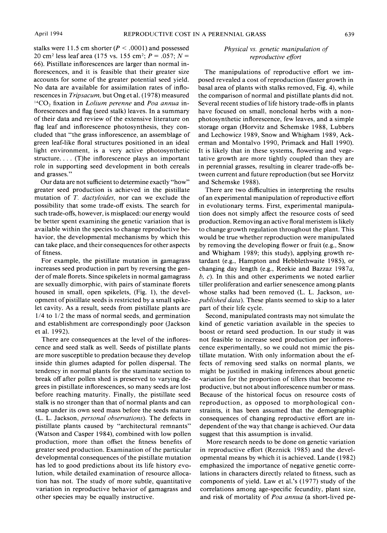stalks were 11.5 cm shorter  $(P < .0001)$  and possessed 20 cm<sup>2</sup> less leaf area (175 vs. 155 cm<sup>2</sup>;  $P = .057$ ;  $N =$ **66). Pistillate inflorescences are larger than normal inflorescences, and it is feasible that their greater size accounts for some of the greater potential seed yield. No data are available for assimilation rates of inflorescences in Tripsacum, but Ong et al. (1978) measured**  <sup>14</sup>CO<sub>2</sub> fixation in *Lolium perenne* and *Poa annua* in**florescences and flag (seed stalk) leaves. In a summary of their data and review of the extensive literature on flag leaf and inflorescence photosynthesis, they concluded that "the grass inflorescence, an assemblage of green leaf-like floral structures positioned in an ideal light environment, is a very active photosynthetic structure.... (T)he inflorescence plays an important role in supporting seed development in both cereals and grasses."** 

**Our data are not sufficient to determine exactly "how" greater seed production is achieved in the pistillate mutation of T. dactyloides, nor can we exclude the possibility that some trade-off exists. The search for such trade-offs, however, is misplaced: our energy would be better spent examining the genetic variation that is available within the species to change reproductive behavior, the developmental mechanisms by which this can take place, and their consequences for other aspects of fitness.** 

**For example, the pistillate mutation in gamagrass increases seed production in part by reversing the gender of male florets. Since spikelets in normal gamagrass are sexually dimorphic, with pairs of staminate florets housed in small, open spikelets, (Fig. 1), the development of pistillate seeds is restricted by a small spikelet cavity. As a result, seeds from pistillate plants are 1/4 to 1/2 the mass of normal seeds, and germination and establishment are correspondingly poor (Jackson et al. 1992).** 

**There are consequences at the level of the inflorescence and seed stalk as well. Seeds of pistillate plants are more susceptible to predation because they develop inside thin glumes adapted for pollen dispersal. The tendency in normal plants for the staminate section to break off after pollen shed is preserved to varying degrees in pistillate inflorescences, so many seeds are lost before reaching maturity. Finally, the pistillate seed stalk is no stronger than that of normal plants and can snap under its own seed mass before the seeds mature (L. L. Jackson, personal observations). The defects in pistillate plants caused by "architectural remnants" (Watson and Casper 1984), combined with low pollen production, more than offset the fitness benefits of greater seed production. Examination of the particular developmental consequences of the pistillate mutation has led to good predictions about its life history evolution, while detailed examination of resource allocation has not. The study of more subtle, quantitative variation in reproductive behavior of gamagrass and other species may be equally instructive.** 

# **Physical vs. genetic manipulation of reproductive effort**

**The manipulations of reproductive effort we imposed revealed a cost of reproduction (faster growth in basal area of plants with stalks removed, Fig. 4), while the comparison of normal and pistillate plants did not. Several recent studies of life history trade-offs in plants have focused on small, nonclonal herbs with a nonphotosynthetic inflorescence, few leaves, and a simple storage organ (Horvitz and Schemske 1988, Lubbers and Lechowicz 1989, Snow and Whigham 1989, Ackerman and Montalvo 1990, Primack and Hall 1990). It is likely that in these systems, flowering and vegetative growth are more tightly coupled than they are in perennial grasses, resulting in clearer trade-offs between current and future reproduction (but see Horvitz and Schemske 1988).** 

**There are two difficulties in interpreting the results of an experimental manipulation of reproductive effort in evolutionary terms. First, experimental manipulation does not simply affect the resource costs of seed production. Removing an active floral meristem is likely to change growth regulation throughout the plant. This would be true whether reproduction were manipulated by removing the developing flower or fruit (e.g., Snow and Whigham 1989; this study), applying growth retardant (e.g., Hampton and Hebblethwaite 1985), or changing day length (e.g., Reekie and Bazzaz 1987a, b, c). In this and other experiments we noted earlier tiller proliferation and earlier senescence among plants whose stalks had been removed (L. L. Jackson, unpublished data). These plants seemed to skip to a later part of their life cycle.** 

**Second, manipulated contrasts may not simulate the kind of genetic variation available in the species to boost or retard seed production. In our study it was not feasible to increase seed production per inflorescence experimentally, so we could not mimic the pistillate mutation. With only information about the effects of removing seed stalks on normal plants, we might be justified in making inferences about genetic variation for the proportion of tillers that become reproductive, but not about inflorescence number or mass. Because of the historical focus on resource costs of reproduction, as opposed to morphological constraints, it has been assumed that the demographic consequences of changing reproductive effort are independent of the way that change is achieved. Our data suggest that this assumption is invalid.** 

**More research needs to be done on genetic variation in reproductive effort (Reznick 1985) and the developmental means by which it is achieved. Lande (1982) emphasized the importance of negative genetic correlations in characters directly related to fitness, such as components of yield. Law et al.'s (1977) study of the correlations among age-specific fecundity, plant size, and risk of mortality of Poa annua (a short-lived pe-**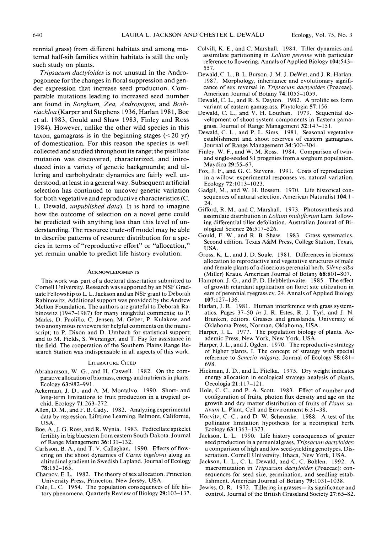**rennial grass) from different habitats and among maternal half-sib families within habitats is still the only such study on plants.** 

**Tripsacum dactyloides is not unusual in the Andropogoneae for the changes in floral suppression and gender expression that increase seed production. Comparable mutations leading to increased seed number are found in Sorghum, Zea, Andropogon, and Bothriachloa (Karper and Stephens 1936, Harlan 1981, Boe et al. 1983, Gould and Shaw 1983, Finley and Ross 1984). However, unlike the other wild species in this taxon, gamagrass is in the beginning stages (<20 yr) of domestication. For this reason the species is well collected and studied throughout its range; the pistillate mutation was discovered, characterized, and introduced into a variety of genetic backgrounds; and tillering and carbohydrate dynamics are fairly well understood, at least in a general way. Subsequent artificial selection has continued to uncover genetic variation for both vegetative and reproductive characteristics (C. L. Dewald, unpublished data). It is hard to imagine how the outcome of selection on a novel gene could be predicted with anything less than this level of understanding. The resource trade-off model may be able to describe patterns of resource distribution for a species in terms of "reproductive effort" or "allocation," yet remain unable to predict life history evolution.** 

#### **ACKNOWLEDGMENTS**

**This work was part of a doctoral dissertation submitted to Cornell University. Research was supported by an NSF Graduate Fellowship to L. L. Jackson and an NSF grant to Deborah Rabinowitz. Additional support was provided by the Andrew Mellon Foundation. The authors are grateful to Deborah Rabinowitz (1947-1987) for many insightful comments; to P. Marks, D. Paolillo, C. Jensen, M. Geber, P. Kulakow, and two anonymous reviewers for helpful comments on the manuscript; to P. Dixon and D. Umbach for statistical support; and to M. Fields, S. Wersinger, and T. Fay for assistance in the field. The cooperation of the Southern Plains Range Research Station was indispensable in all aspects of this work.** 

#### **LITERATURE CITED**

- **Abrahamson, W. G., and H. Caswell. 1982. On the comparative allocation ofbiomass, energy and nutrients in plants. Ecology 63:982-991.**
- **Ackerman, J. D., and A. M. Montalvo. 1990. Short- and long-term limitations to fruit production in a tropical orchid. Ecology 71:263-272.**
- **Allen, D. M., and F. B. Cady. 1982. Analyzing experimental data by regression. Lifetime Learning, Belmont, California, USA.**
- **Boe, A., J. G. Ross, and R. Wynia. 1983. Pedicellate spikelet fertility in big bluestem from eastern South Dakota. Journal of Range Management 36:131-132.**
- **Carlsson, B. A., and T. V. Callaghan. 1990. Effects of flowering on the shoot dynamics of Carex bigelowii along an altitudinal gradient in Swedish Lapland. Journal of Ecology 78:152-165.**
- **Charnov, E. L. 1982. The theory of sex allocation. Princeton University Press, Princeton, New Jersey, USA.**
- **Cole, L. C. 1954. The population consequences of life history phenomena. Quarterly Review of Biology 29:103-137.**
- **Colvill, K. E., and C. Marshall. 1984. Tiller dynamics and assimilate partitioning in Lolium perenne with particular reference to flowering. Annals of Applied Biology 104:543- 557.**
- **Dewald, C. L., B. L. Burson, J. M. J. DeWet, and J. R. Harlan. 1987. Morphology, inheritance and evolutionary significance of sex reversal in Tripsacum dactyloides (Poaceae). American Journal of Botany 74:1055-1059.**
- **Dewald, C. L., and R. S. Dayton. 1982. A prolific sex form variant of eastern gamagrass. Phytologia 57:156.**
- **Dewald, C. L., and V. H. Louthan. 1979. Sequential development of shoot system components in Eastern gamagrass. Journal of Range Management 32:147-151.**
- **Dewald, C. L., and P. L. Sims. 1981. Seasonal vegetative establishment and shoot reserves of eastern gamagrass. Journal of Range Management 34:300-304.**
- Finley, W. F., and W. M. Ross. 1984. Comparison of twin**and single-seeded S 1 progenies from a sorghum population. Maydica 29:55-67.**
- **Fox, J. F., and G. C. Stevens. 1991. Costs of reproduction in a willow: experimental responses vs. natural variation. Ecology 72:1013-1023.**
- **Gadgil, M., and W. H. Bossert. 1970. Life historical consequences of natural selection. American Naturalist 104:1- 24.**
- **Gifford, R. M., and C. Marshall. 1973. Photosynthesis and assimilate distribution in Lolium multiflorum Lam. following differential tiller defoliation. Australian Journal of Biological Science 26:517-526.**
- **Gould, F. W., and R. B. Shaw. 1983. Grass systematics. Second edition. Texas A&M Press, College Station, Texas, USA.**
- **Gross, K. L., and J. D. Soule. 1981. Differences in biomass allocation to reproductive and vegetative structures of male and female plants of a dioecious perennial herb, Silene alba (Miller) Kraus. American Journal of Botany 68:801-807.**
- **Hampton, J. G., and P. D. Hebblethwaite. 1985. The effect of growth retardant application on floret site utilization in ears of perennial ryegrass cv. 24. Annals of Applied Biology 107:127-136.**
- **Harlan, J. R. 1981. Human interference with grass systematics. Pages 37-50 in J. R. Estes, R. J. Tyrl, and J. N. Brunken, editors. Grasses and grasslands. University of Oklahoma Press, Norman, Oklahoma, USA.**
- **Harper, J. L. 1977. The population biology of plants. Academic Press, New York, New York, USA.**
- **Harper, J. L., and J. Ogden. 1970. The reproductive strategy of higher plants. I. The concept of strategy with special reference to Senecio vulgaris. Journal of Ecology 58:681- 698.**
- **Hickman, J. D., and L. Pitelka. 1975. Dry weight indicates energy allocation in ecological strategy analysis of plants. Oecologia 21:117-121.**
- **Hole, C. C., and P. A. Scott. 1983. Effect of number and configuration of fruits, photon flux density and age on the growth and dry matter distribution of fruits of Pisum sativum L. Plant, Cell and Environment 6:31-38.**
- **Horvitz, C. C., and D. W. Schemske. 1988. A test of the pollinator limitation hypothesis for a neotropical herb. Ecology 63:1363-1373.**
- **Jackson, L. L. 1990. Life history consequences of greater seed production in a perennial grass, Tripsacum dactyloides: a comparison of high and low seed-yielding genotypes. Dissertation. Cornell University, Ithaca, New York, USA.**
- **Jackson, L. L., C. L. Dewald, and C. C. Bohlen. 1992. A macromutation in Tripsacum dactyloides (Poaceae): consequences for seed size, germination, and seedling establishment. American Journal of Botany 79:1031-1038.**
- Jewiss, O. R. 1972. Tillering in grasses—its significance and **control. Journal of the British Grassland Society 27:65-82.**